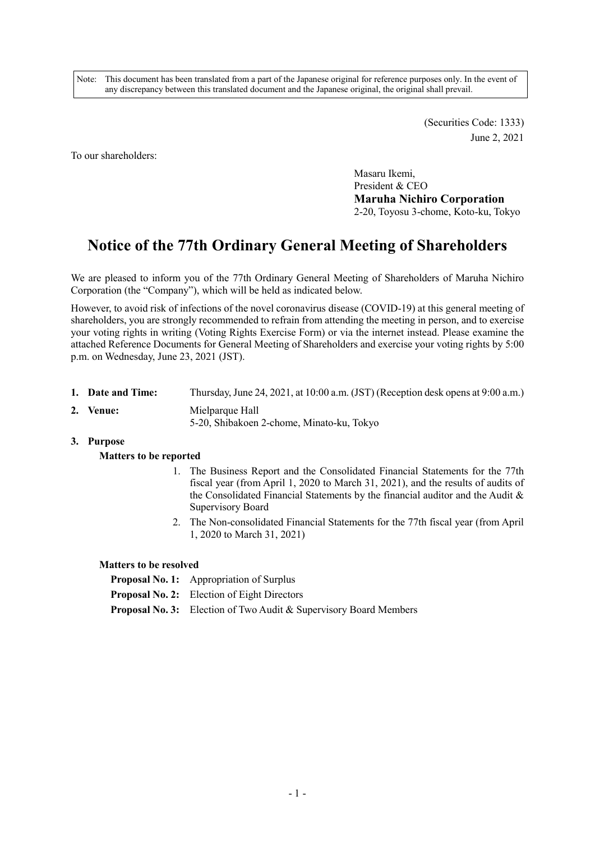Note: This document has been translated from a part of the Japanese original for reference purposes only. In the event of any discrepancy between this translated document and the Japanese original, the original shall prevail.

> (Securities Code: 1333) June 2, 2021

To our shareholders:

Masaru Ikemi, President & CEO **Maruha Nichiro Corporation**  2-20, Toyosu 3-chome, Koto-ku, Tokyo

# **Notice of the 77th Ordinary General Meeting of Shareholders**

We are pleased to inform you of the 77th Ordinary General Meeting of Shareholders of Maruha Nichiro Corporation (the "Company"), which will be held as indicated below.

However, to avoid risk of infections of the novel coronavirus disease (COVID-19) at this general meeting of shareholders, you are strongly recommended to refrain from attending the meeting in person, and to exercise your voting rights in writing (Voting Rights Exercise Form) or via the internet instead. Please examine the attached Reference Documents for General Meeting of Shareholders and exercise your voting rights by 5:00 p.m. on Wednesday, June 23, 2021 (JST).

**1. Date and Time:** Thursday, June 24, 2021, at 10:00 a.m. (JST) (Reception desk opens at 9:00 a.m.) **2. Venue:** Mielparque Hall 5-20, Shibakoen 2-chome, Minato-ku, Tokyo

## **3. Purpose**

### **Matters to be reported**

- 1. The Business Report and the Consolidated Financial Statements for the 77th fiscal year (from April 1, 2020 to March 31, 2021), and the results of audits of the Consolidated Financial Statements by the financial auditor and the Audit & Supervisory Board
- 2. The Non-consolidated Financial Statements for the 77th fiscal year (from April 1, 2020 to March 31, 2021)

**Matters to be resolved** 

**Proposal No. 1:** Appropriation of Surplus

**Proposal No. 2:** Election of Eight Directors

**Proposal No. 3:** Election of Two Audit & Supervisory Board Members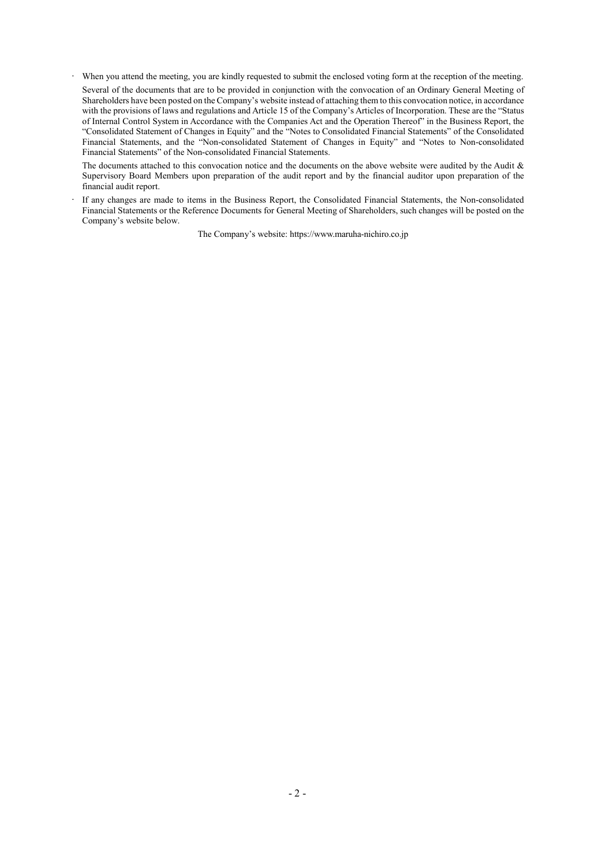When you attend the meeting, you are kindly requested to submit the enclosed voting form at the reception of the meeting. Several of the documents that are to be provided in conjunction with the convocation of an Ordinary General Meeting of Shareholders have been posted on the Company's website instead of attaching them to this convocation notice, in accordance with the provisions of laws and regulations and Article 15 of the Company's Articles of Incorporation. These are the "Status of Internal Control System in Accordance with the Companies Act and the Operation Thereof" in the Business Report, the "Consolidated Statement of Changes in Equity" and the "Notes to Consolidated Financial Statements" of the Consolidated Financial Statements, and the "Non-consolidated Statement of Changes in Equity" and "Notes to Non-consolidated Financial Statements" of the Non-consolidated Financial Statements.

The documents attached to this convocation notice and the documents on the above website were audited by the Audit & Supervisory Board Members upon preparation of the audit report and by the financial auditor upon preparation of the financial audit report.

• If any changes are made to items in the Business Report, the Consolidated Financial Statements, the Non-consolidated Financial Statements or the Reference Documents for General Meeting of Shareholders, such changes will be posted on the Company's website below.

The Company's website: https://www.maruha-nichiro.co.jp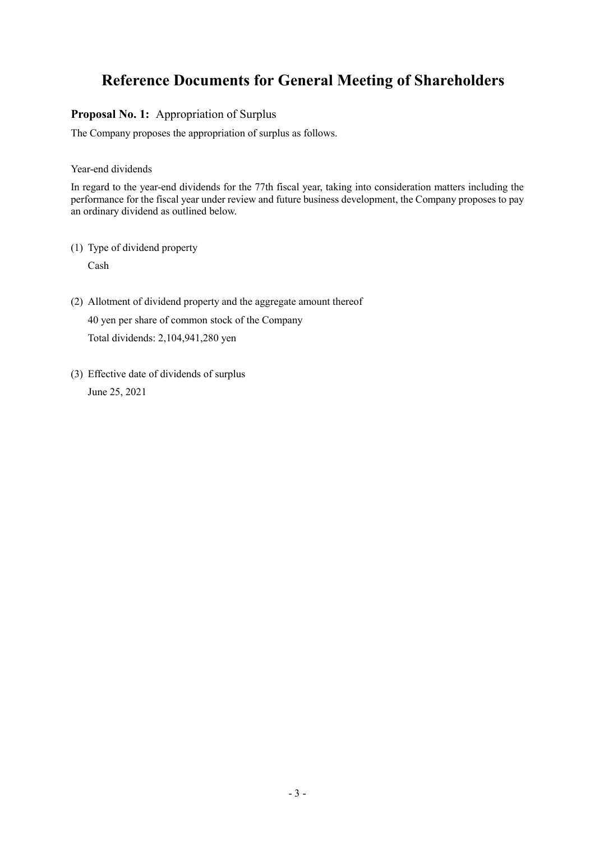# **Reference Documents for General Meeting of Shareholders**

# **Proposal No. 1:** Appropriation of Surplus

The Company proposes the appropriation of surplus as follows.

Year-end dividends

In regard to the year-end dividends for the 77th fiscal year, taking into consideration matters including the performance for the fiscal year under review and future business development, the Company proposes to pay an ordinary dividend as outlined below.

(1) Type of dividend property

Cash

- (2) Allotment of dividend property and the aggregate amount thereof 40 yen per share of common stock of the Company Total dividends: 2,104,941,280 yen
- (3) Effective date of dividends of surplus June 25, 2021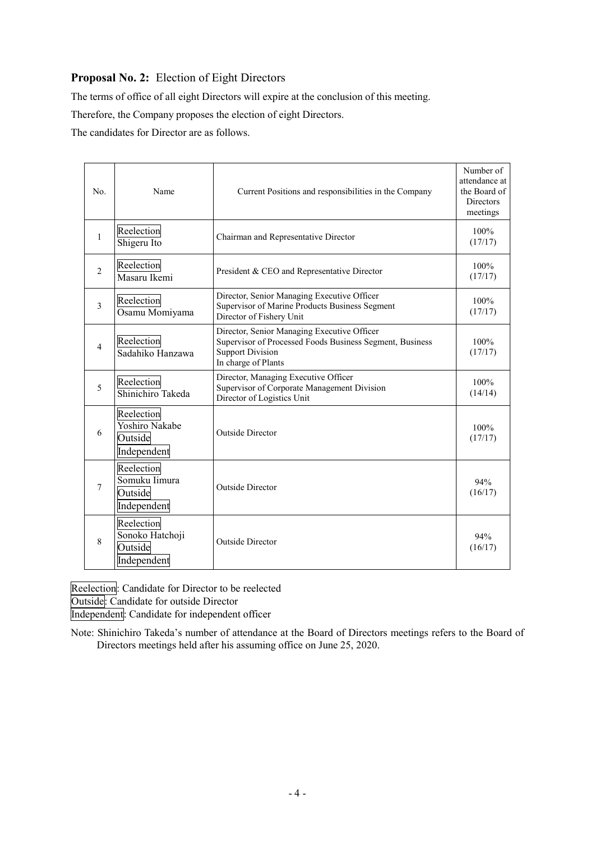# **Proposal No. 2:** Election of Eight Directors

The terms of office of all eight Directors will expire at the conclusion of this meeting.

Therefore, the Company proposes the election of eight Directors.

The candidates for Director are as follows.

| No.            | Name                                                    | Current Positions and responsibilities in the Company                                                                                                     | Number of<br>attendance at<br>the Board of<br>Directors<br>meetings |
|----------------|---------------------------------------------------------|-----------------------------------------------------------------------------------------------------------------------------------------------------------|---------------------------------------------------------------------|
| 1              | Reelection<br>Shigeru Ito                               | Chairman and Representative Director                                                                                                                      | 100%<br>(17/17)                                                     |
| $\overline{2}$ | Reelection<br>Masaru Ikemi                              | President & CEO and Representative Director                                                                                                               | 100%<br>(17/17)                                                     |
| 3              | Reelection<br>Osamu Momiyama                            | Director, Senior Managing Executive Officer<br>Supervisor of Marine Products Business Segment<br>Director of Fishery Unit                                 | 100%<br>(17/17)                                                     |
| 4              | Reelection<br>Sadahiko Hanzawa                          | Director, Senior Managing Executive Officer<br>Supervisor of Processed Foods Business Segment, Business<br><b>Support Division</b><br>In charge of Plants | 100%<br>(17/17)                                                     |
| 5              | Reelection<br>Shinichiro Takeda                         | Director, Managing Executive Officer<br>Supervisor of Corporate Management Division<br>Director of Logistics Unit                                         | 100%<br>(14/14)                                                     |
| 6              | Reelection<br>Yoshiro Nakabe<br>Outside<br>Independent  | <b>Outside Director</b>                                                                                                                                   | 100%<br>(17/17)                                                     |
| 7              | Reelection<br>Somuku Iimura<br>Outside<br>Independent   | <b>Outside Director</b>                                                                                                                                   | 94%<br>(16/17)                                                      |
| 8              | Reelection<br>Sonoko Hatchoji<br>Outside<br>Independent | <b>Outside Director</b>                                                                                                                                   | 94%<br>(16/17)                                                      |

Reelection: Candidate for Director to be reelected Outside: Candidate for outside Director Independent: Candidate for independent officer

Note: Shinichiro Takeda's number of attendance at the Board of Directors meetings refers to the Board of Directors meetings held after his assuming office on June 25, 2020.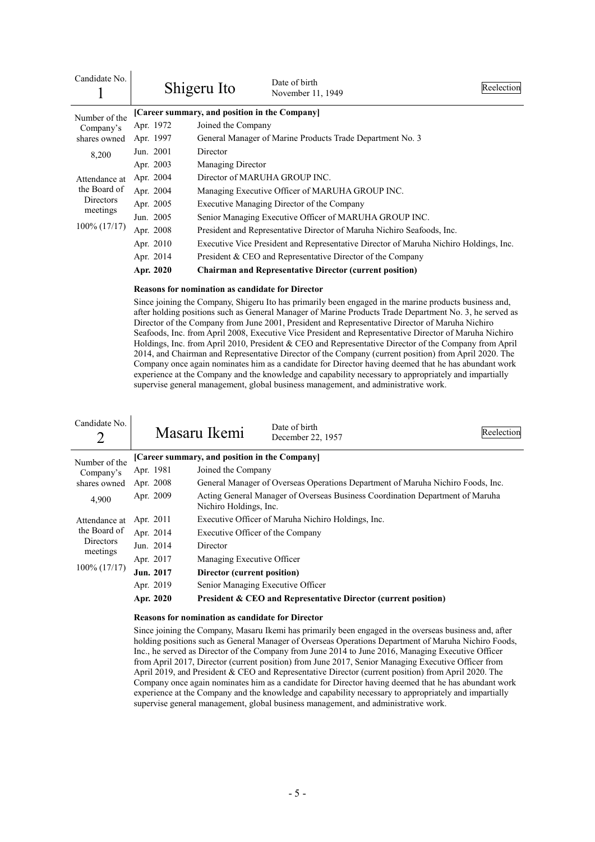| Candidate No.              |           | Shigeru Ito                                                                           | Date of birth<br>November 11, 1949                                     | Reelection |  |  |  |
|----------------------------|-----------|---------------------------------------------------------------------------------------|------------------------------------------------------------------------|------------|--|--|--|
| Number of the<br>Company's |           | [Career summary, and position in the Company]                                         |                                                                        |            |  |  |  |
|                            | Apr. 1972 | Joined the Company                                                                    |                                                                        |            |  |  |  |
| shares owned               | Apr. 1997 |                                                                                       | General Manager of Marine Products Trade Department No. 3              |            |  |  |  |
| 8,200                      | Jun. 2001 | Director                                                                              |                                                                        |            |  |  |  |
|                            | Apr. 2003 | <b>Managing Director</b>                                                              |                                                                        |            |  |  |  |
| Attendance at              | Apr. 2004 | Director of MARUHA GROUP INC.                                                         |                                                                        |            |  |  |  |
| the Board of               | Apr. 2004 | Managing Executive Officer of MARUHA GROUP INC.                                       |                                                                        |            |  |  |  |
| Directors                  | Apr. 2005 | Executive Managing Director of the Company                                            |                                                                        |            |  |  |  |
| meetings                   | Jun. 2005 |                                                                                       | Senior Managing Executive Officer of MARUHA GROUP INC.                 |            |  |  |  |
| $100\% (17/17)$            | Apr. 2008 |                                                                                       | President and Representative Director of Maruha Nichiro Seafoods, Inc. |            |  |  |  |
|                            | Apr. 2010 | Executive Vice President and Representative Director of Maruha Nichiro Holdings, Inc. |                                                                        |            |  |  |  |
|                            | Apr. 2014 |                                                                                       | President & CEO and Representative Director of the Company             |            |  |  |  |
|                            | Apr. 2020 |                                                                                       | <b>Chairman and Representative Director (current position)</b>         |            |  |  |  |

### **Reasons for nomination as candidate for Director**

Since joining the Company, Shigeru Ito has primarily been engaged in the marine products business and, after holding positions such as General Manager of Marine Products Trade Department No. 3, he served as Director of the Company from June 2001, President and Representative Director of Maruha Nichiro Seafoods, Inc. from April 2008, Executive Vice President and Representative Director of Maruha Nichiro Holdings, Inc. from April 2010, President & CEO and Representative Director of the Company from April 2014, and Chairman and Representative Director of the Company (current position) from April 2020. The Company once again nominates him as a candidate for Director having deemed that he has abundant work experience at the Company and the knowledge and capability necessary to appropriately and impartially supervise general management, global business management, and administrative work.

| Candidate No.                                                                    |                                                                                                | Masaru Ikemi                                                                                                                                                                                                                                                           | Date of birth<br>December 22, 1957                                                                      | Reelectior |  |  |
|----------------------------------------------------------------------------------|------------------------------------------------------------------------------------------------|------------------------------------------------------------------------------------------------------------------------------------------------------------------------------------------------------------------------------------------------------------------------|---------------------------------------------------------------------------------------------------------|------------|--|--|
| Number of the<br>Company's<br>shares owned                                       | Apr. 1981<br>Apr. 2008                                                                         | [Career summary, and position in the Company]<br>Joined the Company                                                                                                                                                                                                    | General Manager of Overseas Operations Department of Maruha Nichiro Foods, Inc.                         |            |  |  |
| 4,900                                                                            | Apr. 2009                                                                                      |                                                                                                                                                                                                                                                                        | Acting General Manager of Overseas Business Coordination Department of Maruha<br>Nichiro Holdings, Inc. |            |  |  |
| Attendance at<br>the Board of<br><b>Directors</b><br>meetings<br>$100\% (17/17)$ | Apr. 2011<br>Apr. 2014<br>Jun. 2014<br>Apr. 2017<br><b>Jun. 2017</b><br>Apr. 2019<br>Apr. 2020 | Executive Officer of Maruha Nichiro Holdings, Inc.<br>Executive Officer of the Company<br>Director<br>Managing Executive Officer<br>Director (current position)<br>Senior Managing Executive Officer<br>President & CEO and Representative Director (current position) |                                                                                                         |            |  |  |

### **Reasons for nomination as candidate for Director**

Since joining the Company, Masaru Ikemi has primarily been engaged in the overseas business and, after holding positions such as General Manager of Overseas Operations Department of Maruha Nichiro Foods, Inc., he served as Director of the Company from June 2014 to June 2016, Managing Executive Officer from April 2017, Director (current position) from June 2017, Senior Managing Executive Officer from April 2019, and President & CEO and Representative Director (current position) from April 2020. The Company once again nominates him as a candidate for Director having deemed that he has abundant work experience at the Company and the knowledge and capability necessary to appropriately and impartially supervise general management, global business management, and administrative work.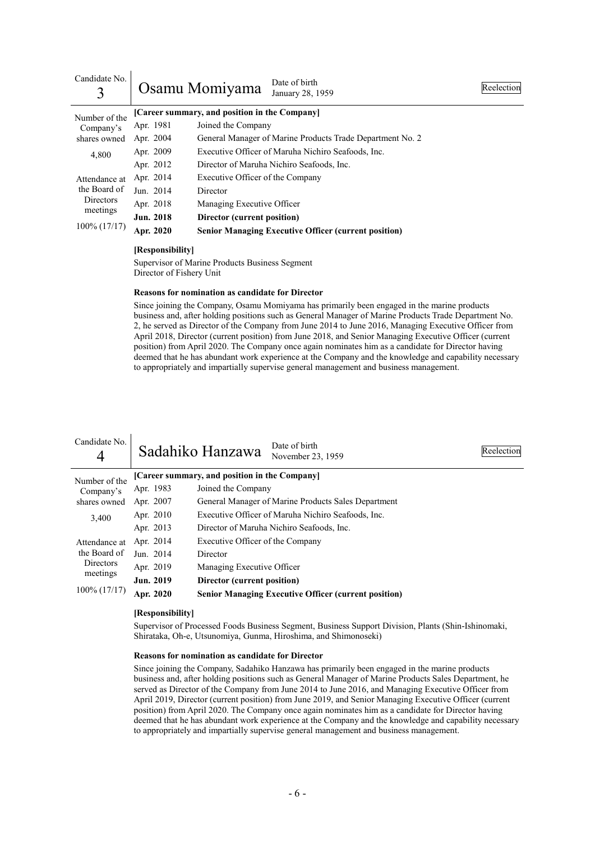| Candidate No.<br>3 |                  | Date of birth<br>Osamu Momiyama<br>January 28, 1959         | Reelection |  |  |  |
|--------------------|------------------|-------------------------------------------------------------|------------|--|--|--|
| Number of the      |                  | [Career summary, and position in the Company]               |            |  |  |  |
| Company's          | Apr. 1981        | Joined the Company                                          |            |  |  |  |
| shares owned       | Apr. 2004        | General Manager of Marine Products Trade Department No. 2   |            |  |  |  |
| 4.800              | Apr. 2009        | Executive Officer of Maruha Nichiro Seafoods, Inc.          |            |  |  |  |
|                    | Apr. 2012        | Director of Maruha Nichiro Seafoods, Inc.                   |            |  |  |  |
| Attendance at      | Apr. 2014        | Executive Officer of the Company                            |            |  |  |  |
| the Board of       | Jun. 2014        | Director                                                    |            |  |  |  |
| <b>Directors</b>   | Apr. 2018        | Managing Executive Officer                                  |            |  |  |  |
| meetings           | <b>Jun. 2018</b> | Director (current position)                                 |            |  |  |  |
| 100% (17/17)       | Apr. 2020        | <b>Senior Managing Executive Officer (current position)</b> |            |  |  |  |

#### **[Responsibility]**

Supervisor of Marine Products Business Segment Director of Fishery Unit

#### **Reasons for nomination as candidate for Director**

Since joining the Company, Osamu Momiyama has primarily been engaged in the marine products business and, after holding positions such as General Manager of Marine Products Trade Department No. 2, he served as Director of the Company from June 2014 to June 2016, Managing Executive Officer from April 2018, Director (current position) from June 2018, and Senior Managing Executive Officer (current position) from April 2020. The Company once again nominates him as a candidate for Director having deemed that he has abundant work experience at the Company and the knowledge and capability necessary to appropriately and impartially supervise general management and business management.

| Candidate No.<br>4                                          |                  | Sadahiko Hanzawa                              | Date of birth<br>November 23, 1959                          | Reelection |
|-------------------------------------------------------------|------------------|-----------------------------------------------|-------------------------------------------------------------|------------|
| Number of the                                               |                  | [Career summary, and position in the Company] |                                                             |            |
| Company's                                                   | Apr. 1983        | Joined the Company                            |                                                             |            |
| shares owned                                                | Apr. 2007        |                                               | General Manager of Marine Products Sales Department         |            |
| 3.400                                                       | Apr. 2010        |                                               | Executive Officer of Maruha Nichiro Seafoods, Inc.          |            |
|                                                             | Apr. 2013        |                                               | Director of Maruha Nichiro Seafoods, Inc.                   |            |
| Attendance at                                               | Apr. 2014        | Executive Officer of the Company              |                                                             |            |
| the Board of                                                | Jun. 2014        | Director                                      |                                                             |            |
| <b>Directors</b><br>Apr. 2019<br>Managing Executive Officer |                  |                                               |                                                             |            |
| meetings                                                    | <b>Jun. 2019</b> | Director (current position)                   |                                                             |            |
| $100\% (17/17)$                                             | Apr. 2020        |                                               | <b>Senior Managing Executive Officer (current position)</b> |            |

#### **[Responsibility]**

Supervisor of Processed Foods Business Segment, Business Support Division, Plants (Shin-Ishinomaki, Shirataka, Oh-e, Utsunomiya, Gunma, Hiroshima, and Shimonoseki)

#### **Reasons for nomination as candidate for Director**

Since joining the Company, Sadahiko Hanzawa has primarily been engaged in the marine products business and, after holding positions such as General Manager of Marine Products Sales Department, he served as Director of the Company from June 2014 to June 2016, and Managing Executive Officer from April 2019, Director (current position) from June 2019, and Senior Managing Executive Officer (current position) from April 2020. The Company once again nominates him as a candidate for Director having deemed that he has abundant work experience at the Company and the knowledge and capability necessary to appropriately and impartially supervise general management and business management.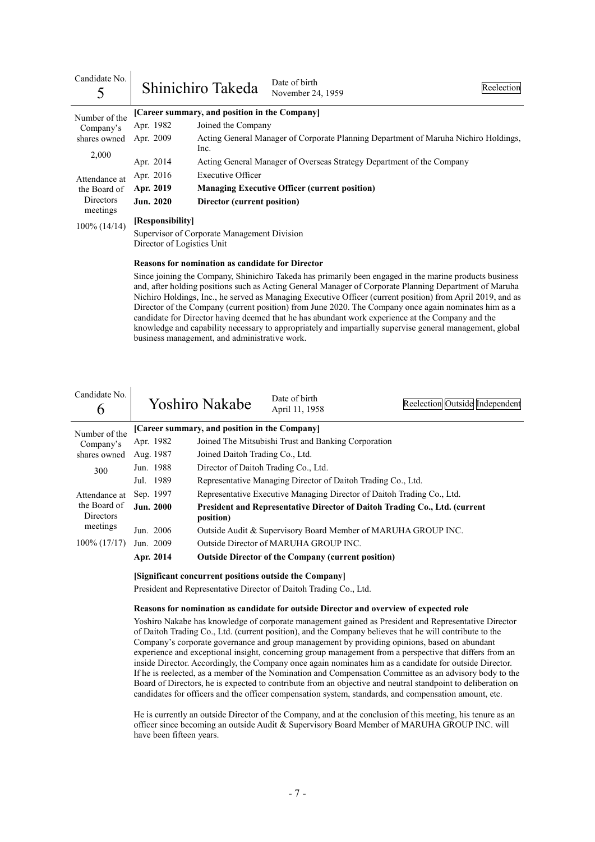| Candidate No.<br>5                                                                                                                                                                                                                                                           |                                             | Shinichiro Takeda                                                     | Date of birth<br>November 24, 1959                                                  | Reelection |  |  |
|------------------------------------------------------------------------------------------------------------------------------------------------------------------------------------------------------------------------------------------------------------------------------|---------------------------------------------|-----------------------------------------------------------------------|-------------------------------------------------------------------------------------|------------|--|--|
| Number of the                                                                                                                                                                                                                                                                |                                             | [Career summary, and position in the Company]                         |                                                                                     |            |  |  |
| Company's                                                                                                                                                                                                                                                                    | Apr. 1982                                   | Joined the Company                                                    |                                                                                     |            |  |  |
| shares owned                                                                                                                                                                                                                                                                 | Apr. 2009                                   |                                                                       | Acting General Manager of Corporate Planning Department of Maruha Nichiro Holdings, |            |  |  |
| 2,000                                                                                                                                                                                                                                                                        |                                             | Inc.                                                                  |                                                                                     |            |  |  |
|                                                                                                                                                                                                                                                                              | Apr. 2014                                   | Acting General Manager of Overseas Strategy Department of the Company |                                                                                     |            |  |  |
| Attendance at                                                                                                                                                                                                                                                                | Apr. 2016                                   | <b>Executive Officer</b>                                              |                                                                                     |            |  |  |
| the Board of                                                                                                                                                                                                                                                                 | Apr. 2019                                   |                                                                       | <b>Managing Executive Officer (current position)</b>                                |            |  |  |
| Directors<br>meetings                                                                                                                                                                                                                                                        | Jun. 2020                                   | Director (current position)                                           |                                                                                     |            |  |  |
| 100% (14/14)                                                                                                                                                                                                                                                                 | [Responsibility]                            |                                                                       |                                                                                     |            |  |  |
|                                                                                                                                                                                                                                                                              | Supervisor of Corporate Management Division |                                                                       |                                                                                     |            |  |  |
| Director of Logistics Unit                                                                                                                                                                                                                                                   |                                             |                                                                       |                                                                                     |            |  |  |
| <b>Reasons for nomination as candidate for Director</b><br>Since joining the Company, Shinichiro Takeda has primarily been engaged in the marine products business<br>and, after holding positions such as Acting General Manager of Corporate Planning Department of Maruha |                                             |                                                                       |                                                                                     |            |  |  |
|                                                                                                                                                                                                                                                                              |                                             |                                                                       |                                                                                     |            |  |  |

and, after holding positions such as Acting General Manager of Corporate Planning Department of Maruha Nichiro Holdings, Inc., he served as Managing Executive Officer (current position) from April 2019, and as Director of the Company (current position) from June 2020. The Company once again nominates him as a candidate for Director having deemed that he has abundant work experience at the Company and the knowledge and capability necessary to appropriately and impartially supervise general management, global business management, and administrative work.

| [Career summary, and position in the Company]<br>Number of the<br>Joined The Mitsubishi Trust and Banking Corporation<br>Apr. 1982<br>Company's<br>Joined Daitoh Trading Co., Ltd.<br>shares owned<br>Aug. 1987<br>Jun. 1988<br>Director of Daitoh Trading Co., Ltd.<br>300<br>Jul. 1989<br>Representative Managing Director of Daitoh Trading Co., Ltd.<br>Representative Executive Managing Director of Daitoh Trading Co., Ltd.<br>Sep. 1997<br>Attendance at<br>the Board of<br><b>Jun. 2000</b><br>President and Representative Director of Daitoh Trading Co., Ltd. (current<br><b>Directors</b><br>position)<br>meetings<br>Jun. 2006<br>Outside Audit & Supervisory Board Member of MARUHA GROUP INC.<br>$100\% (17/17)$<br>Jun. 2009<br>Outside Director of MARUHA GROUP INC.<br>Apr. 2014<br><b>Outside Director of the Company (current position)</b> | Candidate No.<br>6 |  | Yoshiro Nakabe | Date of birth<br>April 11, 1958 | Reelection Outside Independent |  |  |
|------------------------------------------------------------------------------------------------------------------------------------------------------------------------------------------------------------------------------------------------------------------------------------------------------------------------------------------------------------------------------------------------------------------------------------------------------------------------------------------------------------------------------------------------------------------------------------------------------------------------------------------------------------------------------------------------------------------------------------------------------------------------------------------------------------------------------------------------------------------|--------------------|--|----------------|---------------------------------|--------------------------------|--|--|
|                                                                                                                                                                                                                                                                                                                                                                                                                                                                                                                                                                                                                                                                                                                                                                                                                                                                  |                    |  |                |                                 |                                |  |  |
|                                                                                                                                                                                                                                                                                                                                                                                                                                                                                                                                                                                                                                                                                                                                                                                                                                                                  |                    |  |                |                                 |                                |  |  |
|                                                                                                                                                                                                                                                                                                                                                                                                                                                                                                                                                                                                                                                                                                                                                                                                                                                                  |                    |  |                |                                 |                                |  |  |
|                                                                                                                                                                                                                                                                                                                                                                                                                                                                                                                                                                                                                                                                                                                                                                                                                                                                  |                    |  |                |                                 |                                |  |  |
|                                                                                                                                                                                                                                                                                                                                                                                                                                                                                                                                                                                                                                                                                                                                                                                                                                                                  |                    |  |                |                                 |                                |  |  |
|                                                                                                                                                                                                                                                                                                                                                                                                                                                                                                                                                                                                                                                                                                                                                                                                                                                                  |                    |  |                |                                 |                                |  |  |
|                                                                                                                                                                                                                                                                                                                                                                                                                                                                                                                                                                                                                                                                                                                                                                                                                                                                  |                    |  |                |                                 |                                |  |  |
|                                                                                                                                                                                                                                                                                                                                                                                                                                                                                                                                                                                                                                                                                                                                                                                                                                                                  |                    |  |                |                                 |                                |  |  |
|                                                                                                                                                                                                                                                                                                                                                                                                                                                                                                                                                                                                                                                                                                                                                                                                                                                                  |                    |  |                |                                 |                                |  |  |
|                                                                                                                                                                                                                                                                                                                                                                                                                                                                                                                                                                                                                                                                                                                                                                                                                                                                  |                    |  |                |                                 |                                |  |  |

#### **[Significant concurrent positions outside the Company]**

President and Representative Director of Daitoh Trading Co., Ltd.

#### **Reasons for nomination as candidate for outside Director and overview of expected role**

Yoshiro Nakabe has knowledge of corporate management gained as President and Representative Director of Daitoh Trading Co., Ltd. (current position), and the Company believes that he will contribute to the Company's corporate governance and group management by providing opinions, based on abundant experience and exceptional insight, concerning group management from a perspective that differs from an inside Director. Accordingly, the Company once again nominates him as a candidate for outside Director. If he is reelected, as a member of the Nomination and Compensation Committee as an advisory body to the Board of Directors, he is expected to contribute from an objective and neutral standpoint to deliberation on candidates for officers and the officer compensation system, standards, and compensation amount, etc.

He is currently an outside Director of the Company, and at the conclusion of this meeting, his tenure as an officer since becoming an outside Audit & Supervisory Board Member of MARUHA GROUP INC. will have been fifteen years.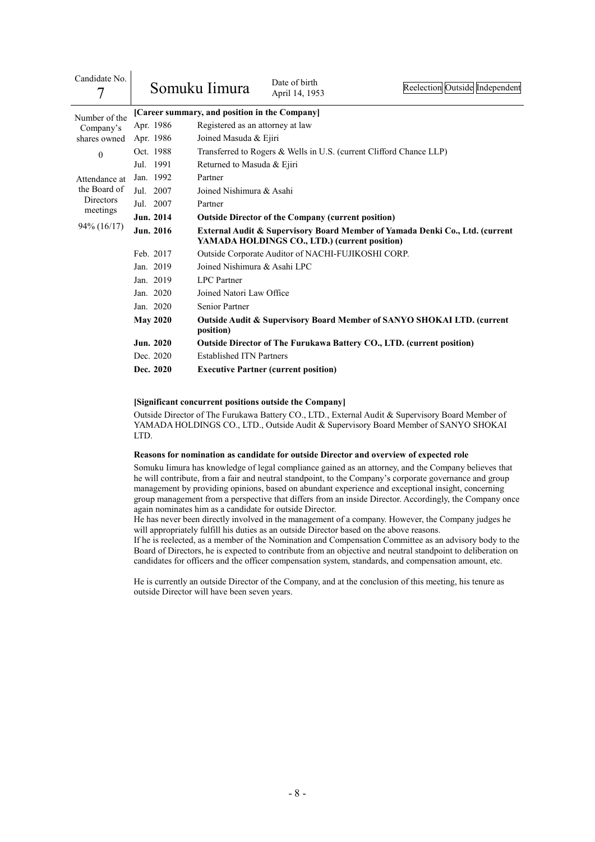| Candidate No.                    |                                               |  | Somuku Iimura                                             | Date of birth<br>April 14, 1953                                                                                                          | Reelection Outside Independent |  |  |
|----------------------------------|-----------------------------------------------|--|-----------------------------------------------------------|------------------------------------------------------------------------------------------------------------------------------------------|--------------------------------|--|--|
| Number of the                    | [Career summary, and position in the Company] |  |                                                           |                                                                                                                                          |                                |  |  |
| Company's                        | Apr. 1986                                     |  | Registered as an attorney at law                          |                                                                                                                                          |                                |  |  |
| shares owned                     | Apr. 1986                                     |  | Joined Masuda & Ejiri                                     |                                                                                                                                          |                                |  |  |
| $\mathbf{0}$                     | Oct. 1988                                     |  |                                                           | Transferred to Rogers & Wells in U.S. (current Clifford Chance LLP)                                                                      |                                |  |  |
|                                  | Jul. 1991                                     |  | Returned to Masuda & Ejiri                                |                                                                                                                                          |                                |  |  |
| Attendance at                    | Jan. 1992                                     |  | Partner                                                   |                                                                                                                                          |                                |  |  |
| the Board of<br><b>Directors</b> | Jul. 2007                                     |  | Joined Nishimura & Asahi                                  |                                                                                                                                          |                                |  |  |
|                                  | Jul. 2007                                     |  | Partner                                                   |                                                                                                                                          |                                |  |  |
| meetings                         | <b>Jun. 2014</b>                              |  | <b>Outside Director of the Company (current position)</b> |                                                                                                                                          |                                |  |  |
| 94% (16/17)                      | <b>Jun. 2016</b>                              |  |                                                           | <b>External Audit &amp; Supervisory Board Member of Yamada Denki Co., Ltd. (current</b><br>YAMADA HOLDINGS CO., LTD.) (current position) |                                |  |  |
|                                  | Feb. 2017                                     |  |                                                           | Outside Corporate Auditor of NACHI-FUJIKOSHI CORP.                                                                                       |                                |  |  |
|                                  | Jan. 2019                                     |  | Joined Nishimura & Asahi LPC                              |                                                                                                                                          |                                |  |  |
|                                  | Jan. 2019                                     |  | <b>LPC</b> Partner                                        |                                                                                                                                          |                                |  |  |
|                                  | Jan. 2020                                     |  | Joined Natori Law Office                                  |                                                                                                                                          |                                |  |  |
|                                  | Jan. 2020                                     |  | Senior Partner                                            |                                                                                                                                          |                                |  |  |
|                                  | <b>May 2020</b>                               |  | position)                                                 | <b>Outside Audit &amp; Supervisory Board Member of SANYO SHOKAI LTD. (current</b>                                                        |                                |  |  |
|                                  | <b>Jun. 2020</b>                              |  |                                                           | <b>Outside Director of The Furukawa Battery CO., LTD. (current position)</b>                                                             |                                |  |  |
|                                  | Dec. 2020                                     |  | <b>Established ITN Partners</b>                           |                                                                                                                                          |                                |  |  |
|                                  | Dec. 2020                                     |  | <b>Executive Partner (current position)</b>               |                                                                                                                                          |                                |  |  |

### **[Significant concurrent positions outside the Company]**

Outside Director of The Furukawa Battery CO., LTD., External Audit & Supervisory Board Member of YAMADA HOLDINGS CO., LTD., Outside Audit & Supervisory Board Member of SANYO SHOKAI LTD.

#### **Reasons for nomination as candidate for outside Director and overview of expected role**

Somuku Iimura has knowledge of legal compliance gained as an attorney, and the Company believes that he will contribute, from a fair and neutral standpoint, to the Company's corporate governance and group management by providing opinions, based on abundant experience and exceptional insight, concerning group management from a perspective that differs from an inside Director. Accordingly, the Company once again nominates him as a candidate for outside Director.

He has never been directly involved in the management of a company. However, the Company judges he will appropriately fulfill his duties as an outside Director based on the above reasons.

If he is reelected, as a member of the Nomination and Compensation Committee as an advisory body to the Board of Directors, he is expected to contribute from an objective and neutral standpoint to deliberation on candidates for officers and the officer compensation system, standards, and compensation amount, etc.

He is currently an outside Director of the Company, and at the conclusion of this meeting, his tenure as outside Director will have been seven years.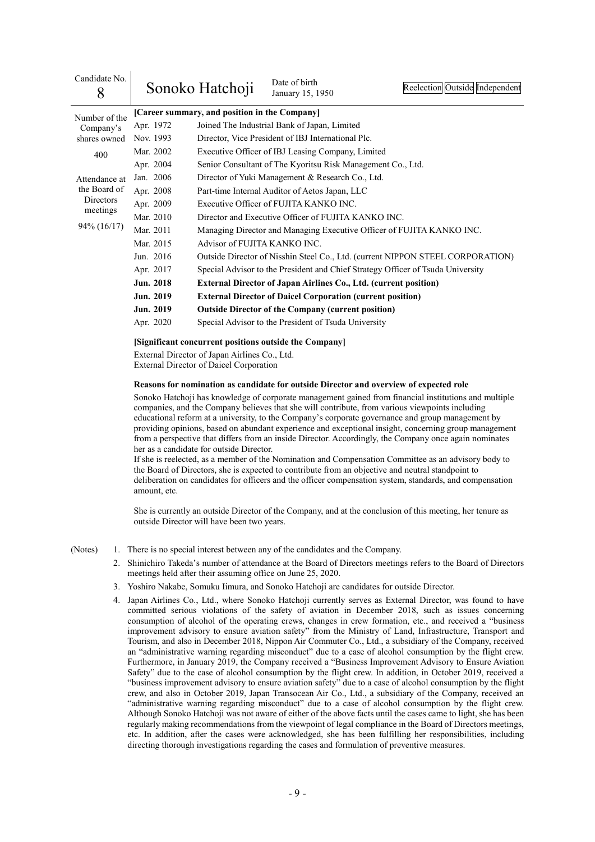| Candidate No.<br>8 |                                                        | Sonoko Hatchoji                                                                                                                                                                                                                                                                                                                                                                                                                                                                                                                                                                                                                                                                                                                                                                                                                                                                                                                                                                                                                                                                                                                                                                                                                                                                                                                                   | Date of birth<br>January 15, 1950                                                                                                                                                           | Reelection Outside Independent                                                                                                                                                                                                                                                                                                                                                                                                                                                                                                                                                                                                                                                                                                                                                                                                                                    |  |  |  |
|--------------------|--------------------------------------------------------|---------------------------------------------------------------------------------------------------------------------------------------------------------------------------------------------------------------------------------------------------------------------------------------------------------------------------------------------------------------------------------------------------------------------------------------------------------------------------------------------------------------------------------------------------------------------------------------------------------------------------------------------------------------------------------------------------------------------------------------------------------------------------------------------------------------------------------------------------------------------------------------------------------------------------------------------------------------------------------------------------------------------------------------------------------------------------------------------------------------------------------------------------------------------------------------------------------------------------------------------------------------------------------------------------------------------------------------------------|---------------------------------------------------------------------------------------------------------------------------------------------------------------------------------------------|-------------------------------------------------------------------------------------------------------------------------------------------------------------------------------------------------------------------------------------------------------------------------------------------------------------------------------------------------------------------------------------------------------------------------------------------------------------------------------------------------------------------------------------------------------------------------------------------------------------------------------------------------------------------------------------------------------------------------------------------------------------------------------------------------------------------------------------------------------------------|--|--|--|
| Number of the      |                                                        | [Career summary, and position in the Company]                                                                                                                                                                                                                                                                                                                                                                                                                                                                                                                                                                                                                                                                                                                                                                                                                                                                                                                                                                                                                                                                                                                                                                                                                                                                                                     |                                                                                                                                                                                             |                                                                                                                                                                                                                                                                                                                                                                                                                                                                                                                                                                                                                                                                                                                                                                                                                                                                   |  |  |  |
| Company's          | Apr. 1972                                              |                                                                                                                                                                                                                                                                                                                                                                                                                                                                                                                                                                                                                                                                                                                                                                                                                                                                                                                                                                                                                                                                                                                                                                                                                                                                                                                                                   | Joined The Industrial Bank of Japan, Limited                                                                                                                                                |                                                                                                                                                                                                                                                                                                                                                                                                                                                                                                                                                                                                                                                                                                                                                                                                                                                                   |  |  |  |
| shares owned       | Nov. 1993                                              | Director, Vice President of IBJ International Plc.                                                                                                                                                                                                                                                                                                                                                                                                                                                                                                                                                                                                                                                                                                                                                                                                                                                                                                                                                                                                                                                                                                                                                                                                                                                                                                |                                                                                                                                                                                             |                                                                                                                                                                                                                                                                                                                                                                                                                                                                                                                                                                                                                                                                                                                                                                                                                                                                   |  |  |  |
| 400                | Mar. 2002                                              |                                                                                                                                                                                                                                                                                                                                                                                                                                                                                                                                                                                                                                                                                                                                                                                                                                                                                                                                                                                                                                                                                                                                                                                                                                                                                                                                                   | Executive Officer of IBJ Leasing Company, Limited                                                                                                                                           |                                                                                                                                                                                                                                                                                                                                                                                                                                                                                                                                                                                                                                                                                                                                                                                                                                                                   |  |  |  |
|                    | Apr. 2004                                              |                                                                                                                                                                                                                                                                                                                                                                                                                                                                                                                                                                                                                                                                                                                                                                                                                                                                                                                                                                                                                                                                                                                                                                                                                                                                                                                                                   | Senior Consultant of The Kyoritsu Risk Management Co., Ltd.                                                                                                                                 |                                                                                                                                                                                                                                                                                                                                                                                                                                                                                                                                                                                                                                                                                                                                                                                                                                                                   |  |  |  |
| Attendance at      | Jan. 2006                                              |                                                                                                                                                                                                                                                                                                                                                                                                                                                                                                                                                                                                                                                                                                                                                                                                                                                                                                                                                                                                                                                                                                                                                                                                                                                                                                                                                   | Director of Yuki Management & Research Co., Ltd.                                                                                                                                            |                                                                                                                                                                                                                                                                                                                                                                                                                                                                                                                                                                                                                                                                                                                                                                                                                                                                   |  |  |  |
| the Board of       | Apr. 2008                                              |                                                                                                                                                                                                                                                                                                                                                                                                                                                                                                                                                                                                                                                                                                                                                                                                                                                                                                                                                                                                                                                                                                                                                                                                                                                                                                                                                   | Part-time Internal Auditor of Aetos Japan, LLC                                                                                                                                              |                                                                                                                                                                                                                                                                                                                                                                                                                                                                                                                                                                                                                                                                                                                                                                                                                                                                   |  |  |  |
| Directors          | Apr. 2009                                              |                                                                                                                                                                                                                                                                                                                                                                                                                                                                                                                                                                                                                                                                                                                                                                                                                                                                                                                                                                                                                                                                                                                                                                                                                                                                                                                                                   | Executive Officer of FUJITA KANKO INC.                                                                                                                                                      |                                                                                                                                                                                                                                                                                                                                                                                                                                                                                                                                                                                                                                                                                                                                                                                                                                                                   |  |  |  |
| meetings           | Mar. 2010                                              |                                                                                                                                                                                                                                                                                                                                                                                                                                                                                                                                                                                                                                                                                                                                                                                                                                                                                                                                                                                                                                                                                                                                                                                                                                                                                                                                                   | Director and Executive Officer of FUJITA KANKO INC.                                                                                                                                         |                                                                                                                                                                                                                                                                                                                                                                                                                                                                                                                                                                                                                                                                                                                                                                                                                                                                   |  |  |  |
| 94% (16/17)        | Mar. 2011                                              | Managing Director and Managing Executive Officer of FUJITA KANKO INC.                                                                                                                                                                                                                                                                                                                                                                                                                                                                                                                                                                                                                                                                                                                                                                                                                                                                                                                                                                                                                                                                                                                                                                                                                                                                             |                                                                                                                                                                                             |                                                                                                                                                                                                                                                                                                                                                                                                                                                                                                                                                                                                                                                                                                                                                                                                                                                                   |  |  |  |
|                    | Mar. 2015                                              | Advisor of FUJITA KANKO INC.                                                                                                                                                                                                                                                                                                                                                                                                                                                                                                                                                                                                                                                                                                                                                                                                                                                                                                                                                                                                                                                                                                                                                                                                                                                                                                                      |                                                                                                                                                                                             |                                                                                                                                                                                                                                                                                                                                                                                                                                                                                                                                                                                                                                                                                                                                                                                                                                                                   |  |  |  |
|                    | Jun. 2016                                              |                                                                                                                                                                                                                                                                                                                                                                                                                                                                                                                                                                                                                                                                                                                                                                                                                                                                                                                                                                                                                                                                                                                                                                                                                                                                                                                                                   |                                                                                                                                                                                             | Outside Director of Nisshin Steel Co., Ltd. (current NIPPON STEEL CORPORATION)                                                                                                                                                                                                                                                                                                                                                                                                                                                                                                                                                                                                                                                                                                                                                                                    |  |  |  |
|                    | Apr. 2017                                              |                                                                                                                                                                                                                                                                                                                                                                                                                                                                                                                                                                                                                                                                                                                                                                                                                                                                                                                                                                                                                                                                                                                                                                                                                                                                                                                                                   | Special Advisor to the President and Chief Strategy Officer of Tsuda University                                                                                                             |                                                                                                                                                                                                                                                                                                                                                                                                                                                                                                                                                                                                                                                                                                                                                                                                                                                                   |  |  |  |
|                    | Jun. 2018                                              |                                                                                                                                                                                                                                                                                                                                                                                                                                                                                                                                                                                                                                                                                                                                                                                                                                                                                                                                                                                                                                                                                                                                                                                                                                                                                                                                                   | External Director of Japan Airlines Co., Ltd. (current position)                                                                                                                            |                                                                                                                                                                                                                                                                                                                                                                                                                                                                                                                                                                                                                                                                                                                                                                                                                                                                   |  |  |  |
|                    | Jun. 2019                                              |                                                                                                                                                                                                                                                                                                                                                                                                                                                                                                                                                                                                                                                                                                                                                                                                                                                                                                                                                                                                                                                                                                                                                                                                                                                                                                                                                   | <b>External Director of Daicel Corporation (current position)</b>                                                                                                                           |                                                                                                                                                                                                                                                                                                                                                                                                                                                                                                                                                                                                                                                                                                                                                                                                                                                                   |  |  |  |
|                    | <b>Jun. 2019</b>                                       |                                                                                                                                                                                                                                                                                                                                                                                                                                                                                                                                                                                                                                                                                                                                                                                                                                                                                                                                                                                                                                                                                                                                                                                                                                                                                                                                                   | <b>Outside Director of the Company (current position)</b>                                                                                                                                   |                                                                                                                                                                                                                                                                                                                                                                                                                                                                                                                                                                                                                                                                                                                                                                                                                                                                   |  |  |  |
|                    | Apr. 2020                                              |                                                                                                                                                                                                                                                                                                                                                                                                                                                                                                                                                                                                                                                                                                                                                                                                                                                                                                                                                                                                                                                                                                                                                                                                                                                                                                                                                   | Special Advisor to the President of Tsuda University                                                                                                                                        |                                                                                                                                                                                                                                                                                                                                                                                                                                                                                                                                                                                                                                                                                                                                                                                                                                                                   |  |  |  |
|                    |                                                        |                                                                                                                                                                                                                                                                                                                                                                                                                                                                                                                                                                                                                                                                                                                                                                                                                                                                                                                                                                                                                                                                                                                                                                                                                                                                                                                                                   |                                                                                                                                                                                             |                                                                                                                                                                                                                                                                                                                                                                                                                                                                                                                                                                                                                                                                                                                                                                                                                                                                   |  |  |  |
|                    | [Significant concurrent positions outside the Company] |                                                                                                                                                                                                                                                                                                                                                                                                                                                                                                                                                                                                                                                                                                                                                                                                                                                                                                                                                                                                                                                                                                                                                                                                                                                                                                                                                   |                                                                                                                                                                                             |                                                                                                                                                                                                                                                                                                                                                                                                                                                                                                                                                                                                                                                                                                                                                                                                                                                                   |  |  |  |
|                    |                                                        | External Director of Japan Airlines Co., Ltd.<br>External Director of Daicel Corporation                                                                                                                                                                                                                                                                                                                                                                                                                                                                                                                                                                                                                                                                                                                                                                                                                                                                                                                                                                                                                                                                                                                                                                                                                                                          |                                                                                                                                                                                             |                                                                                                                                                                                                                                                                                                                                                                                                                                                                                                                                                                                                                                                                                                                                                                                                                                                                   |  |  |  |
|                    | amount, etc.                                           | her as a candidate for outside Director.<br>outside Director will have been two years.                                                                                                                                                                                                                                                                                                                                                                                                                                                                                                                                                                                                                                                                                                                                                                                                                                                                                                                                                                                                                                                                                                                                                                                                                                                            | Reasons for nomination as candidate for outside Director and overview of expected role<br>the Board of Directors, she is expected to contribute from an objective and neutral standpoint to | Sonoko Hatchoji has knowledge of corporate management gained from financial institutions and multiple<br>companies, and the Company believes that she will contribute, from various viewpoints including<br>educational reform at a university, to the Company's corporate governance and group management by<br>providing opinions, based on abundant experience and exceptional insight, concerning group management<br>from a perspective that differs from an inside Director. Accordingly, the Company once again nominates<br>If she is reelected, as a member of the Nomination and Compensation Committee as an advisory body to<br>deliberation on candidates for officers and the officer compensation system, standards, and compensation<br>She is currently an outside Director of the Company, and at the conclusion of this meeting, her tenure as |  |  |  |
| (Notes)            |                                                        |                                                                                                                                                                                                                                                                                                                                                                                                                                                                                                                                                                                                                                                                                                                                                                                                                                                                                                                                                                                                                                                                                                                                                                                                                                                                                                                                                   | 1. There is no special interest between any of the candidates and the Company.                                                                                                              |                                                                                                                                                                                                                                                                                                                                                                                                                                                                                                                                                                                                                                                                                                                                                                                                                                                                   |  |  |  |
| 2.                 |                                                        |                                                                                                                                                                                                                                                                                                                                                                                                                                                                                                                                                                                                                                                                                                                                                                                                                                                                                                                                                                                                                                                                                                                                                                                                                                                                                                                                                   | meetings held after their assuming office on June 25, 2020.                                                                                                                                 | Shinichiro Takeda's number of attendance at the Board of Directors meetings refers to the Board of Directors                                                                                                                                                                                                                                                                                                                                                                                                                                                                                                                                                                                                                                                                                                                                                      |  |  |  |
| 3.                 |                                                        |                                                                                                                                                                                                                                                                                                                                                                                                                                                                                                                                                                                                                                                                                                                                                                                                                                                                                                                                                                                                                                                                                                                                                                                                                                                                                                                                                   | Yoshiro Nakabe, Somuku Iimura, and Sonoko Hatchoji are candidates for outside Director.                                                                                                     |                                                                                                                                                                                                                                                                                                                                                                                                                                                                                                                                                                                                                                                                                                                                                                                                                                                                   |  |  |  |
| 4.                 |                                                        | Japan Airlines Co., Ltd., where Sonoko Hatchoji currently serves as External Director, was found to have<br>committed serious violations of the safety of aviation in December 2018, such as issues concerning<br>consumption of alcohol of the operating crews, changes in crew formation, etc., and received a "business<br>improvement advisory to ensure aviation safety" from the Ministry of Land, Infrastructure, Transport and<br>Tourism, and also in December 2018, Nippon Air Commuter Co., Ltd., a subsidiary of the Company, received<br>an "administrative warning regarding misconduct" due to a case of alcohol consumption by the flight crew.<br>Furthermore, in January 2019, the Company received a "Business Improvement Advisory to Ensure Aviation<br>Safety" due to the case of alcohol consumption by the flight crew. In addition, in October 2019, received a<br>"business improvement advisory to ensure aviation safety" due to a case of alcohol consumption by the flight<br>crew, and also in October 2019, Japan Transocean Air Co., Ltd., a subsidiary of the Company, received an<br>"administrative warning regarding misconduct" due to a case of alcohol consumption by the flight crew.<br>Although Sonoko Hatchoji was not aware of either of the above facts until the cases came to light, she has been |                                                                                                                                                                                             |                                                                                                                                                                                                                                                                                                                                                                                                                                                                                                                                                                                                                                                                                                                                                                                                                                                                   |  |  |  |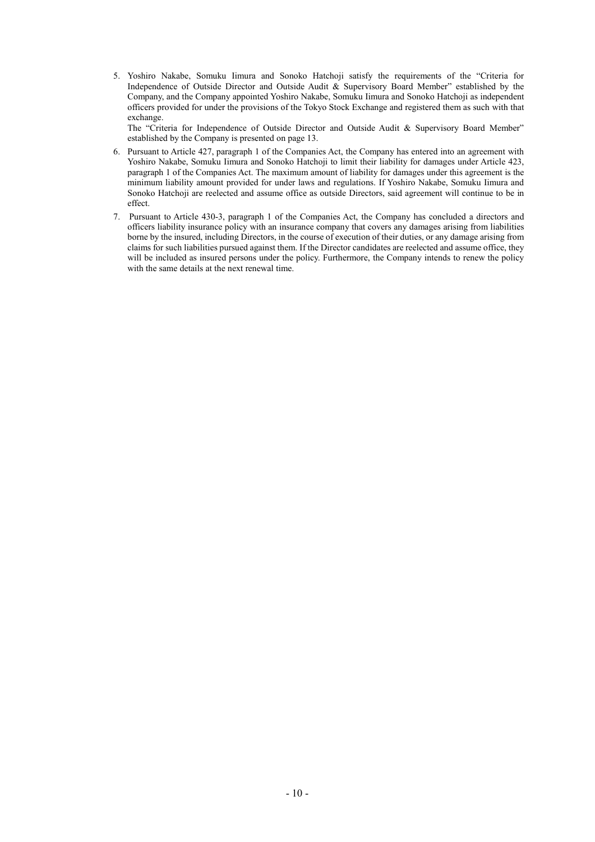5. Yoshiro Nakabe, Somuku Iimura and Sonoko Hatchoji satisfy the requirements of the "Criteria for Independence of Outside Director and Outside Audit & Supervisory Board Member" established by the Company, and the Company appointed Yoshiro Nakabe, Somuku Iimura and Sonoko Hatchoji as independent officers provided for under the provisions of the Tokyo Stock Exchange and registered them as such with that exchange.

The "Criteria for Independence of Outside Director and Outside Audit & Supervisory Board Member" established by the Company is presented on page 13.

- 6. Pursuant to Article 427, paragraph 1 of the Companies Act, the Company has entered into an agreement with Yoshiro Nakabe, Somuku Iimura and Sonoko Hatchoji to limit their liability for damages under Article 423, paragraph 1 of the Companies Act. The maximum amount of liability for damages under this agreement is the minimum liability amount provided for under laws and regulations. If Yoshiro Nakabe, Somuku Iimura and Sonoko Hatchoji are reelected and assume office as outside Directors, said agreement will continue to be in effect.
- 7. Pursuant to Article 430-3, paragraph 1 of the Companies Act, the Company has concluded a directors and officers liability insurance policy with an insurance company that covers any damages arising from liabilities borne by the insured, including Directors, in the course of execution of their duties, or any damage arising from claims for such liabilities pursued against them. If the Director candidates are reelected and assume office, they will be included as insured persons under the policy. Furthermore, the Company intends to renew the policy with the same details at the next renewal time.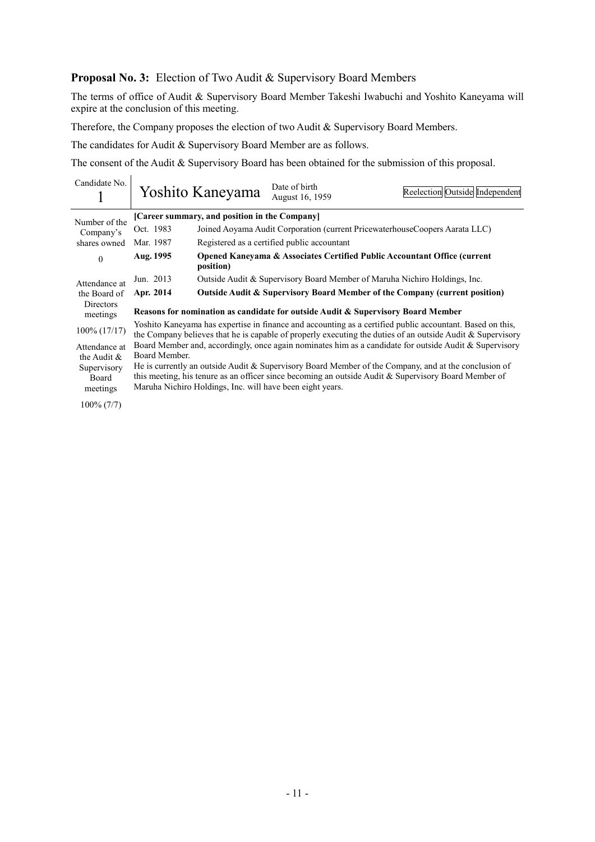# **Proposal No. 3:** Election of Two Audit & Supervisory Board Members

The terms of office of Audit & Supervisory Board Member Takeshi Iwabuchi and Yoshito Kaneyama will expire at the conclusion of this meeting.

Therefore, the Company proposes the election of two Audit & Supervisory Board Members.

The candidates for Audit & Supervisory Board Member are as follows.

The consent of the Audit & Supervisory Board has been obtained for the submission of this proposal.

| Candidate No.                                                  |                                                                                                                                                                   | Yoshito Kaneyama                                                                                  | Date of birth<br>August 16, 1959                                                                                                                                                                                        | Reelection Outside Independent |  |  |
|----------------------------------------------------------------|-------------------------------------------------------------------------------------------------------------------------------------------------------------------|---------------------------------------------------------------------------------------------------|-------------------------------------------------------------------------------------------------------------------------------------------------------------------------------------------------------------------------|--------------------------------|--|--|
| [Career summary, and position in the Company]<br>Number of the |                                                                                                                                                                   |                                                                                                   |                                                                                                                                                                                                                         |                                |  |  |
| Company's                                                      | Oct. 1983                                                                                                                                                         |                                                                                                   | Joined Aoyama Audit Corporation (current Pricewaterhouse Coopers Aarata LLC)                                                                                                                                            |                                |  |  |
| shares owned                                                   | Mar. 1987                                                                                                                                                         |                                                                                                   | Registered as a certified public accountant                                                                                                                                                                             |                                |  |  |
| $\theta$                                                       | Aug. 1995                                                                                                                                                         | <b>Opened Kaneyama &amp; Associates Certified Public Accountant Office (current)</b><br>position) |                                                                                                                                                                                                                         |                                |  |  |
| Attendance at                                                  | Jun. 2013                                                                                                                                                         |                                                                                                   | Outside Audit & Supervisory Board Member of Maruha Nichiro Holdings, Inc.                                                                                                                                               |                                |  |  |
| the Board of                                                   | Apr. 2014                                                                                                                                                         |                                                                                                   | Outside Audit & Supervisory Board Member of the Company (current position)                                                                                                                                              |                                |  |  |
| Directors<br>meetings                                          | Reasons for nomination as candidate for outside Audit & Supervisory Board Member                                                                                  |                                                                                                   |                                                                                                                                                                                                                         |                                |  |  |
| $100\% (17/17)$                                                |                                                                                                                                                                   |                                                                                                   | Yoshito Kaneyama has expertise in finance and accounting as a certified public accountant. Based on this,<br>the Company believes that he is capable of properly executing the duties of an outside Audit & Supervisory |                                |  |  |
| Attendance at                                                  |                                                                                                                                                                   |                                                                                                   | Board Member and, accordingly, once again nominates him as a candidate for outside Audit & Supervisory                                                                                                                  |                                |  |  |
| the Audit $\&$                                                 | Board Member.                                                                                                                                                     |                                                                                                   |                                                                                                                                                                                                                         |                                |  |  |
| Supervisory                                                    | He is currently an outside Audit & Supervisory Board Member of the Company, and at the conclusion of                                                              |                                                                                                   |                                                                                                                                                                                                                         |                                |  |  |
| Board<br>meetings                                              | this meeting, his tenure as an officer since becoming an outside Audit & Supervisory Board Member of<br>Maruha Nichiro Holdings, Inc. will have been eight years. |                                                                                                   |                                                                                                                                                                                                                         |                                |  |  |
| $100\% (7/7)$                                                  |                                                                                                                                                                   |                                                                                                   |                                                                                                                                                                                                                         |                                |  |  |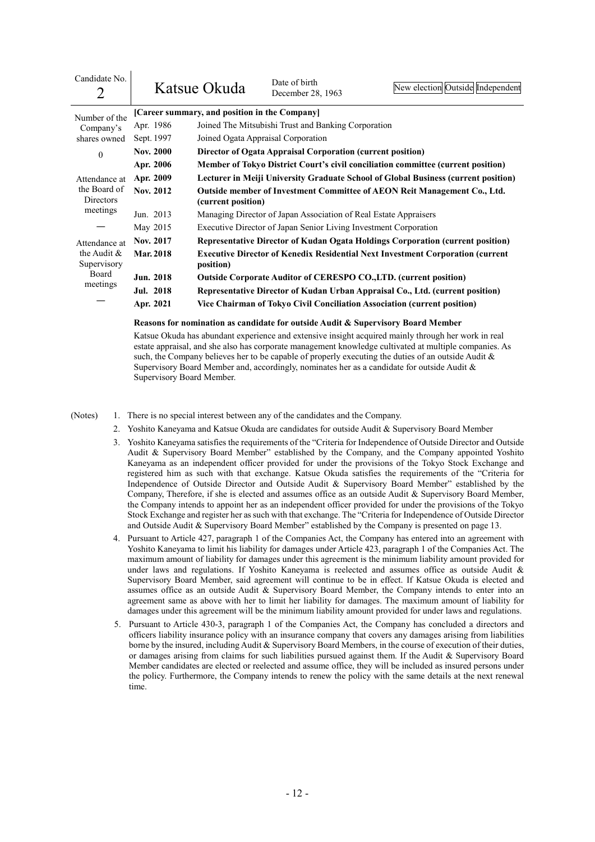| Candidate No.<br>2                                                                                               |                                                                                       | Katsue Okuda                                                                                          | Date of birth<br>December 28, 1963                                                      | New election Outside Independent                                                      |  |  |  |
|------------------------------------------------------------------------------------------------------------------|---------------------------------------------------------------------------------------|-------------------------------------------------------------------------------------------------------|-----------------------------------------------------------------------------------------|---------------------------------------------------------------------------------------|--|--|--|
| Number of the                                                                                                    | [Career summary, and position in the Company]                                         |                                                                                                       |                                                                                         |                                                                                       |  |  |  |
| Company's                                                                                                        | Apr. 1986                                                                             |                                                                                                       | Joined The Mitsubishi Trust and Banking Corporation                                     |                                                                                       |  |  |  |
| shares owned                                                                                                     | Sept. 1997                                                                            |                                                                                                       | Joined Ogata Appraisal Corporation                                                      |                                                                                       |  |  |  |
| $\theta$                                                                                                         | <b>Nov. 2000</b>                                                                      |                                                                                                       | Director of Ogata Appraisal Corporation (current position)                              |                                                                                       |  |  |  |
|                                                                                                                  | Apr. 2006                                                                             |                                                                                                       | <b>Member of Tokyo District Court's civil conciliation committee (current position)</b> |                                                                                       |  |  |  |
| Lecturer in Meiji University Graduate School of Global Business (current position)<br>Apr. 2009<br>Attendance at |                                                                                       |                                                                                                       |                                                                                         |                                                                                       |  |  |  |
| the Board of<br><b>Directors</b>                                                                                 | <b>Nov. 2012</b>                                                                      | <b>Outside member of Investment Committee of AEON Reit Management Co., Ltd.</b><br>(current position) |                                                                                         |                                                                                       |  |  |  |
| meetings                                                                                                         | Jun. 2013                                                                             |                                                                                                       | Managing Director of Japan Association of Real Estate Appraisers                        |                                                                                       |  |  |  |
|                                                                                                                  | May 2015                                                                              |                                                                                                       | Executive Director of Japan Senior Living Investment Corporation                        |                                                                                       |  |  |  |
| Attendance at                                                                                                    | <b>Nov. 2017</b>                                                                      |                                                                                                       |                                                                                         | Representative Director of Kudan Ogata Holdings Corporation (current position)        |  |  |  |
| the Audit $\&$<br><b>Mar. 2018</b><br>Supervisory<br>position)                                                   |                                                                                       |                                                                                                       |                                                                                         | <b>Executive Director of Kenedix Residential Next Investment Corporation (current</b> |  |  |  |
| Board                                                                                                            | <b>Jun. 2018</b>                                                                      |                                                                                                       | <b>Outside Corporate Auditor of CERESPO CO., LTD. (current position)</b>                |                                                                                       |  |  |  |
| meetings                                                                                                         | <b>Jul. 2018</b>                                                                      |                                                                                                       |                                                                                         | Representative Director of Kudan Urban Appraisal Co., Ltd. (current position)         |  |  |  |
|                                                                                                                  | Vice Chairman of Tokyo Civil Conciliation Association (current position)<br>Apr. 2021 |                                                                                                       |                                                                                         |                                                                                       |  |  |  |

**Reasons for nomination as candidate for outside Audit & Supervisory Board Member** 

Katsue Okuda has abundant experience and extensive insight acquired mainly through her work in real estate appraisal, and she also has corporate management knowledge cultivated at multiple companies. As such, the Company believes her to be capable of properly executing the duties of an outside Audit & Supervisory Board Member and, accordingly, nominates her as a candidate for outside Audit & Supervisory Board Member.

(Notes) 1. There is no special interest between any of the candidates and the Company.

- 2. Yoshito Kaneyama and Katsue Okuda are candidates for outside Audit & Supervisory Board Member
- 3. Yoshito Kaneyama satisfies the requirements of the "Criteria for Independence of Outside Director and Outside Audit & Supervisory Board Member" established by the Company, and the Company appointed Yoshito Kaneyama as an independent officer provided for under the provisions of the Tokyo Stock Exchange and registered him as such with that exchange. Katsue Okuda satisfies the requirements of the "Criteria for Independence of Outside Director and Outside Audit & Supervisory Board Member" established by the Company, Therefore, if she is elected and assumes office as an outside Audit & Supervisory Board Member, the Company intends to appoint her as an independent officer provided for under the provisions of the Tokyo Stock Exchange and register her as such with that exchange. The "Criteria for Independence of Outside Director and Outside Audit & Supervisory Board Member" established by the Company is presented on page 13.
- 4. Pursuant to Article 427, paragraph 1 of the Companies Act, the Company has entered into an agreement with Yoshito Kaneyama to limit his liability for damages under Article 423, paragraph 1 of the Companies Act. The maximum amount of liability for damages under this agreement is the minimum liability amount provided for under laws and regulations. If Yoshito Kaneyama is reelected and assumes office as outside Audit & Supervisory Board Member, said agreement will continue to be in effect. If Katsue Okuda is elected and assumes office as an outside Audit & Supervisory Board Member, the Company intends to enter into an agreement same as above with her to limit her liability for damages. The maximum amount of liability for damages under this agreement will be the minimum liability amount provided for under laws and regulations.
- 5. Pursuant to Article 430-3, paragraph 1 of the Companies Act, the Company has concluded a directors and officers liability insurance policy with an insurance company that covers any damages arising from liabilities borne by the insured, including Audit & Supervisory Board Members, in the course of execution of their duties, or damages arising from claims for such liabilities pursued against them. If the Audit & Supervisory Board Member candidates are elected or reelected and assume office, they will be included as insured persons under the policy. Furthermore, the Company intends to renew the policy with the same details at the next renewal time.